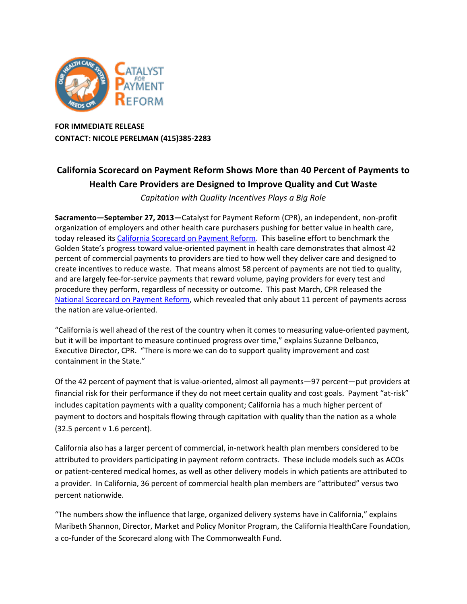

**FOR IMMEDIATE RELEASE CONTACT: NICOLE PERELMAN (415)385-2283**

## **California Scorecard on Payment Reform Shows More than 40 Percent of Payments to Health Care Providers are Designed to Improve Quality and Cut Waste**

*Capitation with Quality Incentives Plays a Big Role*

**Sacramento—September 27, 2013—**Catalyst for Payment Reform (CPR), an independent, non-profit organization of employers and other health care purchasers pushing for better value in health care, today released it[s California Scorecard on Payment Reform.](http://www.catalyzepaymentreform.org/how-we-catalyze_california-scorecard) This baseline effort to benchmark the Golden State's progress toward value-oriented payment in health care demonstrates that almost 42 percent of commercial payments to providers are tied to how well they deliver care and designed to create incentives to reduce waste. That means almost 58 percent of payments are not tied to quality, and are largely fee-for-service payments that reward volume, paying providers for every test and procedure they perform, regardless of necessity or outcome. This past March, CPR released the [National Scorecard on Payment Reform,](http://www.catalyzepaymentreform.org/how-we-catalyze/national-scorecard) which revealed that only about 11 percent of payments across the nation are value-oriented.

"California is well ahead of the rest of the country when it comes to measuring value-oriented payment, but it will be important to measure continued progress over time," explains Suzanne Delbanco, Executive Director, CPR. "There is more we can do to support quality improvement and cost containment in the State."

Of the 42 percent of payment that is value-oriented, almost all payments—97 percent—put providers at financial risk for their performance if they do not meet certain quality and cost goals. Payment "at-risk" includes capitation payments with a quality component; California has a much higher percent of payment to doctors and hospitals flowing through capitation with quality than the nation as a whole (32.5 percent v 1.6 percent).

California also has a larger percent of commercial, in-network health plan members considered to be attributed to providers participating in payment reform contracts. These include models such as ACOs or patient-centered medical homes, as well as other delivery models in which patients are attributed to a provider. In California, 36 percent of commercial health plan members are "attributed" versus two percent nationwide.

"The numbers show the influence that large, organized delivery systems have in California," explains Maribeth Shannon, Director, Market and Policy Monitor Program, the California HealthCare Foundation, a co-funder of the Scorecard along with The Commonwealth Fund.